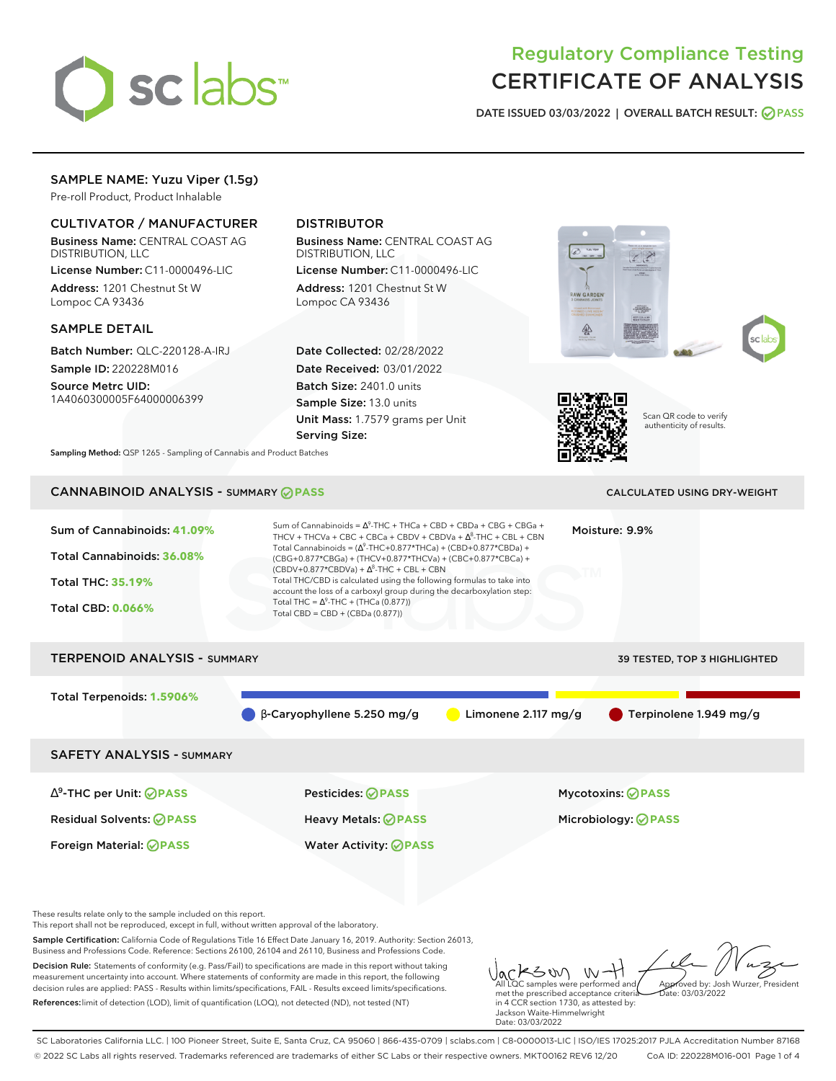

# Regulatory Compliance Testing CERTIFICATE OF ANALYSIS

**DATE ISSUED 03/03/2022 | OVERALL BATCH RESULT: PASS**

# SAMPLE NAME: Yuzu Viper (1.5g)

Pre-roll Product, Product Inhalable

## CULTIVATOR / MANUFACTURER

Business Name: CENTRAL COAST AG DISTRIBUTION, LLC License Number: C11-0000496-LIC Address: 1201 Chestnut St W Lompoc CA 93436

#### SAMPLE DETAIL

Batch Number: QLC-220128-A-IRJ Sample ID: 220228M016

Source Metrc UID: 1A4060300005F64000006399

# DISTRIBUTOR

Business Name: CENTRAL COAST AG DISTRIBUTION, LLC

License Number: C11-0000496-LIC Address: 1201 Chestnut St W Lompoc CA 93436

Date Collected: 02/28/2022 Date Received: 03/01/2022 Batch Size: 2401.0 units Sample Size: 13.0 units Unit Mass: 1.7579 grams per Unit Serving Size:







Scan QR code to verify authenticity of results.

**Sampling Method:** QSP 1265 - Sampling of Cannabis and Product Batches

# CANNABINOID ANALYSIS - SUMMARY **PASS** CALCULATED USING DRY-WEIGHT

| Sum of Cannabinoids: 41.09%<br>Total Cannabinoids: 36.08%<br><b>Total THC: 35.19%</b><br><b>Total CBD: 0.066%</b> | Sum of Cannabinoids = $\Delta^9$ -THC + THCa + CBD + CBDa + CBG + CBGa +<br>THCV + THCVa + CBC + CBCa + CBDV + CBDVa + $\Delta^8$ -THC + CBL + CBN<br>Total Cannabinoids = $(\Delta^9$ -THC+0.877*THCa) + (CBD+0.877*CBDa) +<br>(CBG+0.877*CBGa) + (THCV+0.877*THCVa) + (CBC+0.877*CBCa) +<br>$(CBDV+0.877*CBDVa) + \Delta^8$ -THC + CBL + CBN<br>Total THC/CBD is calculated using the following formulas to take into<br>account the loss of a carboxyl group during the decarboxylation step:<br>Total THC = $\Delta^9$ -THC + (THCa (0.877))<br>Total CBD = $CBD + (CBDa (0.877))$ | Moisture: 9.9%               |
|-------------------------------------------------------------------------------------------------------------------|----------------------------------------------------------------------------------------------------------------------------------------------------------------------------------------------------------------------------------------------------------------------------------------------------------------------------------------------------------------------------------------------------------------------------------------------------------------------------------------------------------------------------------------------------------------------------------------|------------------------------|
| <b>TERPENOID ANALYSIS - SUMMARY</b>                                                                               |                                                                                                                                                                                                                                                                                                                                                                                                                                                                                                                                                                                        | 39 TESTED, TOP 3 HIGHLIGHTED |
| Total Terpenoids: 1.5906%                                                                                         |                                                                                                                                                                                                                                                                                                                                                                                                                                                                                                                                                                                        |                              |
|                                                                                                                   | Limonene $2.117 \text{ mg/g}$<br>$\beta$ -Caryophyllene 5.250 mg/g                                                                                                                                                                                                                                                                                                                                                                                                                                                                                                                     | Terpinolene 1.949 mg/g       |
| <b>SAFETY ANALYSIS - SUMMARY</b>                                                                                  |                                                                                                                                                                                                                                                                                                                                                                                                                                                                                                                                                                                        |                              |
| $\Delta^9$ -THC per Unit: <b>PASS</b>                                                                             | Pesticides: ⊘PASS                                                                                                                                                                                                                                                                                                                                                                                                                                                                                                                                                                      | Mycotoxins: ⊘PASS            |
| <b>Residual Solvents: ⊘PASS</b>                                                                                   | <b>Heavy Metals: ⊘ PASS</b>                                                                                                                                                                                                                                                                                                                                                                                                                                                                                                                                                            | Microbiology: <b>⊘</b> PASS  |
| <b>Foreign Material: ⊘PASS</b>                                                                                    | <b>Water Activity: ⊘PASS</b>                                                                                                                                                                                                                                                                                                                                                                                                                                                                                                                                                           |                              |
|                                                                                                                   |                                                                                                                                                                                                                                                                                                                                                                                                                                                                                                                                                                                        |                              |

These results relate only to the sample included on this report.

This report shall not be reproduced, except in full, without written approval of the laboratory.

Sample Certification: California Code of Regulations Title 16 Effect Date January 16, 2019. Authority: Section 26013, Business and Professions Code. Reference: Sections 26100, 26104 and 26110, Business and Professions Code.

Decision Rule: Statements of conformity (e.g. Pass/Fail) to specifications are made in this report without taking measurement uncertainty into account. Where statements of conformity are made in this report, the following decision rules are applied: PASS - Results within limits/specifications, FAIL - Results exceed limits/specifications. References:limit of detection (LOD), limit of quantification (LOQ), not detected (ND), not tested (NT)

Jackson W-All LQC samples were performed and Approved by: Josh Wurzer, President met the prescribed acceptance criteria Date: 03/03/2022 in 4 CCR section 1730, as attested by: Jackson Waite-Himmelwright

SC Laboratories California LLC. | 100 Pioneer Street, Suite E, Santa Cruz, CA 95060 | 866-435-0709 | sclabs.com | C8-0000013-LIC | ISO/IES 17025:2017 PJLA Accreditation Number 87168 © 2022 SC Labs all rights reserved. Trademarks referenced are trademarks of either SC Labs or their respective owners. MKT00162 REV6 12/20 CoA ID: 220228M016-001 Page 1 of 4

Date: 03/03/2022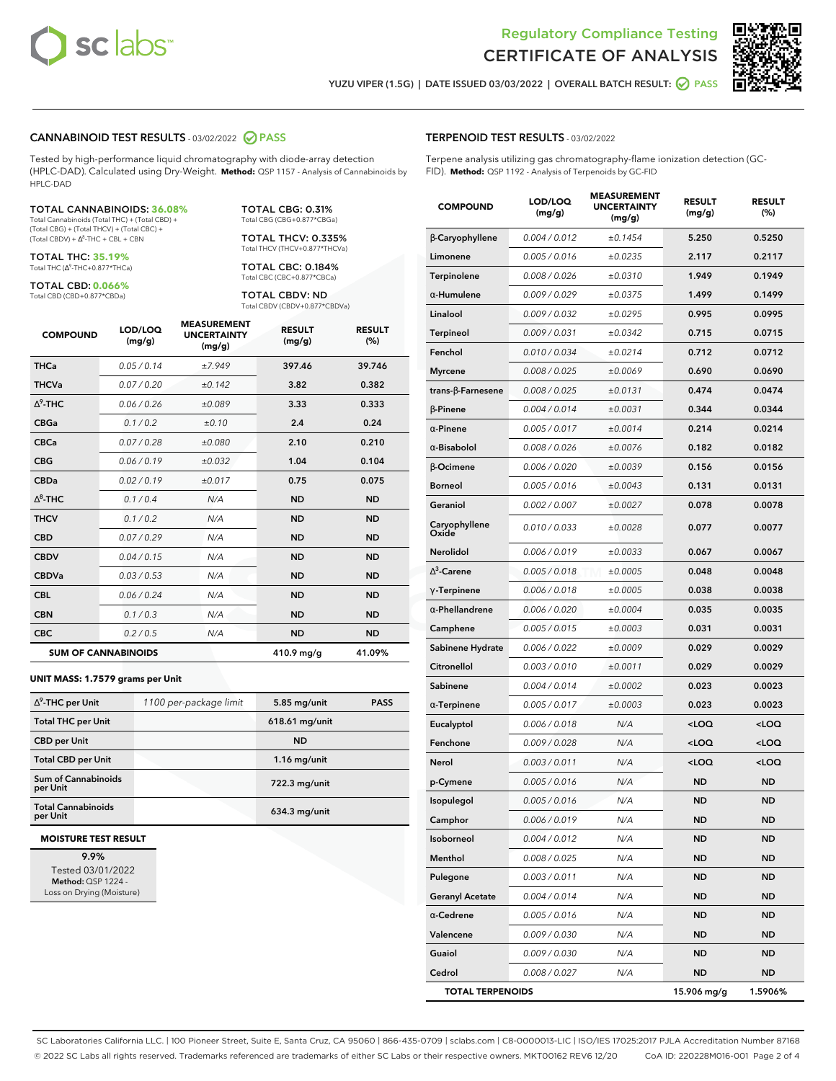



**YUZU VIPER (1.5G) | DATE ISSUED 03/03/2022 | OVERALL BATCH RESULT: PASS**

#### **CANNABINOID TEST RESULTS** - 03/02/2022 **PASS**

Tested by high-performance liquid chromatography with diode-array detection (HPLC-DAD). Calculated using Dry-Weight. **Method:** QSP 1157 - Analysis of Cannabinoids by HPLC-DAD

#### TOTAL CANNABINOIDS: **36.08%**

Total Cannabinoids (Total THC) + (Total CBD) + (Total CBG) + (Total THCV) + (Total CBC) +  $(Total CBDV) +  $\Delta^8$ -THC + CBL + CBN$ 

TOTAL THC: **35.19%** Total THC (Δ<sup>9</sup>-THC+0.877\*THCa)

TOTAL CBD: **0.066%** Total CBD (CBD+0.877\*CBDa)

TOTAL CBG: 0.31% Total CBG (CBG+0.877\*CBGa)

TOTAL THCV: 0.335% Total THCV (THCV+0.877\*THCVa)

TOTAL CBC: 0.184% Total CBC (CBC+0.877\*CBCa)

TOTAL CBDV: ND Total CBDV (CBDV+0.877\*CBDVa)

| <b>COMPOUND</b> | LOD/LOQ<br>(mg/g)          | <b>MEASUREMENT</b><br><b>UNCERTAINTY</b><br>(mg/g) | <b>RESULT</b><br>(mg/g) | <b>RESULT</b><br>(%) |
|-----------------|----------------------------|----------------------------------------------------|-------------------------|----------------------|
| <b>THCa</b>     | 0.05/0.14                  | ±7.949                                             | 397.46                  | 39.746               |
| <b>THCVa</b>    | 0.07 / 0.20                | ±0.142                                             | 3.82                    | 0.382                |
| $\wedge^9$ -THC | 0.06/0.26                  | ±0.089                                             | 3.33                    | 0.333                |
| <b>CBGa</b>     | 0.1/0.2                    | ±0.10                                              | 2.4                     | 0.24                 |
| <b>CBCa</b>     | 0.07/0.28                  | ±0.080                                             | 2.10                    | 0.210                |
| <b>CBG</b>      | 0.06/0.19                  | ±0.032                                             | 1.04                    | 0.104                |
| <b>CBDa</b>     | 0.02/0.19                  | ±0.017                                             | 0.75                    | 0.075                |
| $\wedge^8$ -THC | 0.1/0.4                    | N/A                                                | <b>ND</b>               | <b>ND</b>            |
| <b>THCV</b>     | 0.1 / 0.2                  | N/A                                                | <b>ND</b>               | <b>ND</b>            |
| <b>CBD</b>      | 0.07/0.29                  | N/A                                                | <b>ND</b>               | <b>ND</b>            |
| <b>CBDV</b>     | 0.04 / 0.15                | N/A                                                | <b>ND</b>               | <b>ND</b>            |
| <b>CBDVa</b>    | 0.03/0.53                  | N/A                                                | <b>ND</b>               | <b>ND</b>            |
| <b>CBL</b>      | 0.06/0.24                  | N/A                                                | <b>ND</b>               | <b>ND</b>            |
| <b>CBN</b>      | 0.1/0.3                    | N/A                                                | <b>ND</b>               | <b>ND</b>            |
| <b>CBC</b>      | 0.2 / 0.5                  | N/A                                                | <b>ND</b>               | <b>ND</b>            |
|                 | <b>SUM OF CANNABINOIDS</b> |                                                    | 410.9 mg/g              | 41.09%               |

#### **UNIT MASS: 1.7579 grams per Unit**

| $\Delta^9$ -THC per Unit              | 1100 per-package limit | 5.85 mg/unit     | <b>PASS</b> |
|---------------------------------------|------------------------|------------------|-------------|
| <b>Total THC per Unit</b>             |                        | $618.61$ mg/unit |             |
| <b>CBD per Unit</b>                   |                        | <b>ND</b>        |             |
| <b>Total CBD per Unit</b>             |                        | $1.16$ mg/unit   |             |
| Sum of Cannabinoids<br>per Unit       |                        | 722.3 mg/unit    |             |
| <b>Total Cannabinoids</b><br>per Unit |                        | 634.3 mg/unit    |             |

#### **MOISTURE TEST RESULT**

**9.9%** Tested 03/01/2022 **Method:** QSP 1224 - Loss on Drying (Moisture)

## **TERPENOID TEST RESULTS** - 03/02/2022

Terpene analysis utilizing gas chromatography-flame ionization detection (GC-FID). **Method:** QSP 1192 - Analysis of Terpenoids by GC-FID

| <b>COMPOUND</b>          | LOD/LOQ<br>(mg/g) | <b>MEASUREMENT</b><br><b>UNCERTAINTY</b><br>(mg/g) | <b>RESULT</b><br>(mg/g)                         | <b>RESULT</b><br>(%) |
|--------------------------|-------------------|----------------------------------------------------|-------------------------------------------------|----------------------|
| β-Caryophyllene          | 0.004 / 0.012     | ±0.1454                                            | 5.250                                           | 0.5250               |
| Limonene                 | 0.005 / 0.016     | ±0.0235                                            | 2.117                                           | 0.2117               |
| Terpinolene              | 0.008 / 0.026     | ±0.0310                                            | 1.949                                           | 0.1949               |
| $\alpha$ -Humulene       | 0.009 / 0.029     | ±0.0375                                            | 1.499                                           | 0.1499               |
| Linalool                 | 0.009 / 0.032     | ±0.0295                                            | 0.995                                           | 0.0995               |
| <b>Terpineol</b>         | 0.009 / 0.031     | ±0.0342                                            | 0.715                                           | 0.0715               |
| Fenchol                  | 0.010 / 0.034     | ±0.0214                                            | 0.712                                           | 0.0712               |
| <b>Myrcene</b>           | 0.008 / 0.025     | ±0.0069                                            | 0.690                                           | 0.0690               |
| $trans-\beta$ -Farnesene | 0.008 / 0.025     | ±0.0131                                            | 0.474                                           | 0.0474               |
| $\beta$ -Pinene          | 0.004 / 0.014     | ±0.0031                                            | 0.344                                           | 0.0344               |
| $\alpha$ -Pinene         | 0.005 / 0.017     | ±0.0014                                            | 0.214                                           | 0.0214               |
| $\alpha$ -Bisabolol      | 0.008 / 0.026     | ±0.0076                                            | 0.182                                           | 0.0182               |
| β-Ocimene                | 0.006 / 0.020     | ±0.0039                                            | 0.156                                           | 0.0156               |
| <b>Borneol</b>           | 0.005 / 0.016     | ±0.0043                                            | 0.131                                           | 0.0131               |
| Geraniol                 | 0.002 / 0.007     | ±0.0027                                            | 0.078                                           | 0.0078               |
| Caryophyllene<br>Oxide   | 0.010 / 0.033     | ±0.0028                                            | 0.077                                           | 0.0077               |
| <b>Nerolidol</b>         | 0.006 / 0.019     | ±0.0033                                            | 0.067                                           | 0.0067               |
| $\Delta^3$ -Carene       | 0.005 / 0.018     | ±0.0005                                            | 0.048                                           | 0.0048               |
| $\gamma$ -Terpinene      | 0.006 / 0.018     | ±0.0005                                            | 0.038                                           | 0.0038               |
| $\alpha$ -Phellandrene   | 0.006 / 0.020     | ±0.0004                                            | 0.035                                           | 0.0035               |
| Camphene                 | 0.005 / 0.015     | ±0.0003                                            | 0.031                                           | 0.0031               |
| Sabinene Hydrate         | 0.006 / 0.022     | ±0.0009                                            | 0.029                                           | 0.0029               |
| Citronellol              | 0.003 / 0.010     | ±0.0011                                            | 0.029                                           | 0.0029               |
| Sabinene                 | 0.004 / 0.014     | ±0.0002                                            | 0.023                                           | 0.0023               |
| $\alpha$ -Terpinene      | 0.005 / 0.017     | ±0.0003                                            | 0.023                                           | 0.0023               |
| Eucalyptol               | 0.006 / 0.018     | N/A                                                | <loq< th=""><th><loq< th=""></loq<></th></loq<> | <loq< th=""></loq<>  |
| Fenchone                 | 0.009 / 0.028     | N/A                                                | <loq< th=""><th><loq< th=""></loq<></th></loq<> | <loq< th=""></loq<>  |
| Nerol                    | 0.003 / 0.011     | N/A                                                | <loq< th=""><th><loq< th=""></loq<></th></loq<> | <loq< th=""></loq<>  |
| p-Cymene                 | 0.005 / 0.016     | N/A                                                | ND                                              | ND                   |
| Isopulegol               | 0.005 / 0.016     | N/A                                                | <b>ND</b>                                       | <b>ND</b>            |
| Camphor                  | 0.006 / 0.019     | N/A                                                | ND                                              | ND                   |
| Isoborneol               | 0.004 / 0.012     | N/A                                                | <b>ND</b>                                       | ND                   |
| Menthol                  | 0.008 / 0.025     | N/A                                                | ND                                              | ND                   |
| Pulegone                 | 0.003 / 0.011     | N/A                                                | ND                                              | ND                   |
| <b>Geranyl Acetate</b>   | 0.004 / 0.014     | N/A                                                | ND                                              | ND                   |
| $\alpha$ -Cedrene        | 0.005 / 0.016     | N/A                                                | ND                                              | ND                   |
| Valencene                | 0.009 / 0.030     | N/A                                                | ND                                              | ND                   |
| Guaiol                   | 0.009 / 0.030     | N/A                                                | ND                                              | ND                   |
| Cedrol                   | 0.008 / 0.027     | N/A                                                | ND                                              | ND                   |
| <b>TOTAL TERPENOIDS</b>  |                   |                                                    | 15.906 mg/g                                     | 1.5906%              |

SC Laboratories California LLC. | 100 Pioneer Street, Suite E, Santa Cruz, CA 95060 | 866-435-0709 | sclabs.com | C8-0000013-LIC | ISO/IES 17025:2017 PJLA Accreditation Number 87168 © 2022 SC Labs all rights reserved. Trademarks referenced are trademarks of either SC Labs or their respective owners. MKT00162 REV6 12/20 CoA ID: 220228M016-001 Page 2 of 4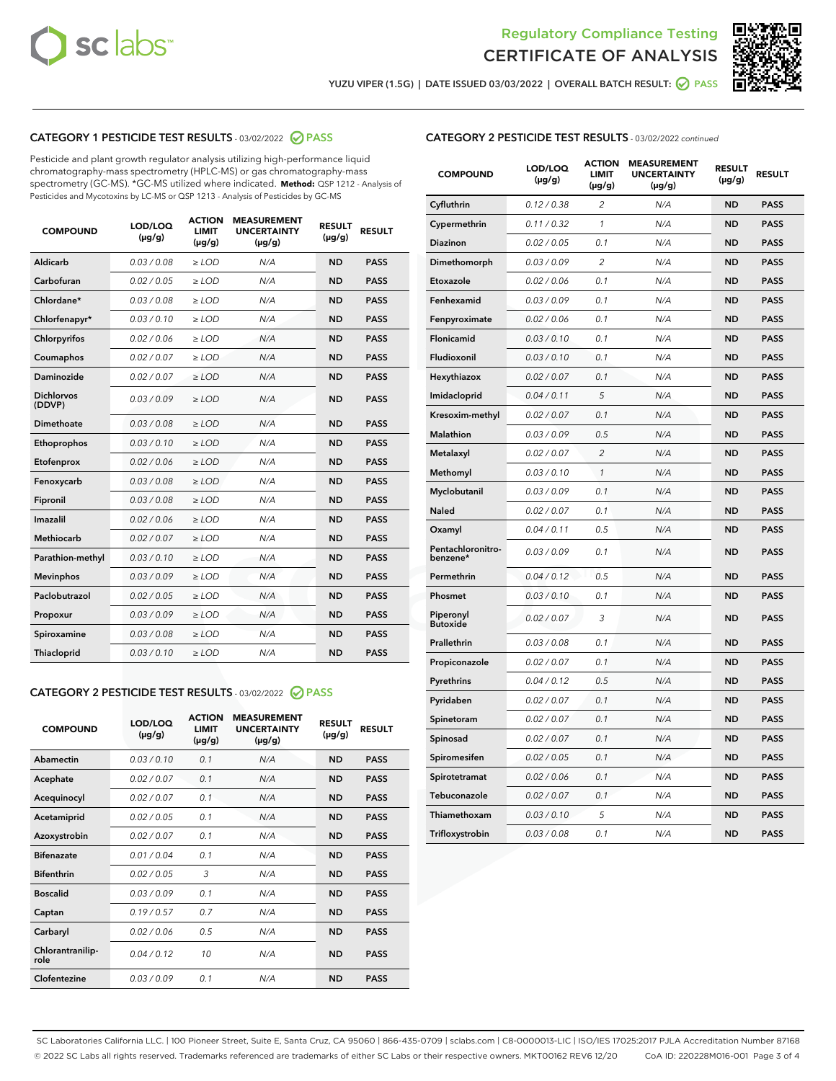



**YUZU VIPER (1.5G) | DATE ISSUED 03/03/2022 | OVERALL BATCH RESULT: PASS**

## **CATEGORY 1 PESTICIDE TEST RESULTS** - 03/02/2022 **PASS**

Pesticide and plant growth regulator analysis utilizing high-performance liquid chromatography-mass spectrometry (HPLC-MS) or gas chromatography-mass spectrometry (GC-MS). \*GC-MS utilized where indicated. **Method:** QSP 1212 - Analysis of Pesticides and Mycotoxins by LC-MS or QSP 1213 - Analysis of Pesticides by GC-MS

| 0.03 / 0.08<br>Aldicarb<br>$\ge$ LOD<br>N/A<br><b>ND</b><br><b>PASS</b><br>Carbofuran<br>0.02 / 0.05<br><b>ND</b><br>$\ge$ LOD<br>N/A<br><b>PASS</b><br>Chlordane*<br>0.03 / 0.08<br>$\ge$ LOD<br>N/A<br><b>ND</b><br><b>PASS</b><br>Chlorfenapyr*<br>0.03/0.10<br>N/A<br><b>ND</b><br><b>PASS</b><br>≥ LOD<br>Chlorpyrifos<br>0.02/0.06<br>$>$ LOD<br>N/A<br><b>ND</b><br><b>PASS</b><br>0.02 / 0.07<br>N/A<br><b>ND</b><br>Coumaphos<br>$\geq$ LOD<br><b>PASS</b><br>Daminozide<br>0.02 / 0.07<br><b>ND</b><br>$\ge$ LOD<br>N/A<br><b>PASS</b><br><b>Dichlorvos</b><br>0.03/0.09<br>N/A<br><b>ND</b><br>$>$ LOD<br><b>PASS</b><br>(DDVP)<br>Dimethoate<br>0.03 / 0.08<br>N/A<br><b>ND</b><br><b>PASS</b><br>$>$ LOD<br><b>ND</b><br><b>PASS</b><br>0.03/0.10<br>$\geq$ LOD<br>N/A<br>Ethoprophos<br>0.02 / 0.06<br>N/A<br><b>ND</b><br><b>PASS</b><br>Etofenprox<br>$\geq$ LOD<br>0.03 / 0.08<br>N/A<br><b>ND</b><br><b>PASS</b><br>Fenoxycarb<br>$\geq$ LOD<br>0.03 / 0.08<br>N/A<br><b>ND</b><br><b>PASS</b><br>Fipronil<br>$\geq$ LOD<br>Imazalil<br>0.02 / 0.06<br>$>$ LOD<br>N/A<br><b>ND</b><br><b>PASS</b><br><b>Methiocarb</b><br>0.02 / 0.07<br><b>ND</b><br><b>PASS</b><br>$>$ LOD<br>N/A<br>0.03/0.10<br>N/A<br><b>ND</b><br><b>PASS</b><br>Parathion-methyl<br>$\geq$ LOD<br>0.03/0.09<br>$\ge$ LOD<br>N/A<br><b>ND</b><br><b>PASS</b><br><b>Mevinphos</b><br>Paclobutrazol<br>0.02 / 0.05<br>N/A<br><b>ND</b><br><b>PASS</b><br>$\geq$ LOD<br>0.03/0.09<br>$>$ LOD<br>N/A<br><b>ND</b><br><b>PASS</b><br>Propoxur<br>0.03 / 0.08<br>$\ge$ LOD<br>N/A<br><b>ND</b><br><b>PASS</b><br>Spiroxamine<br>0.03/0.10<br>$\ge$ LOD<br>N/A<br><b>ND</b><br><b>PASS</b><br><b>Thiacloprid</b> | <b>COMPOUND</b> | LOD/LOQ<br>$(\mu g/g)$ | <b>ACTION</b><br><b>LIMIT</b><br>$(\mu g/g)$ | <b>MEASUREMENT</b><br><b>UNCERTAINTY</b><br>$(\mu g/g)$ | <b>RESULT</b><br>$(\mu g/g)$ | <b>RESULT</b> |
|---------------------------------------------------------------------------------------------------------------------------------------------------------------------------------------------------------------------------------------------------------------------------------------------------------------------------------------------------------------------------------------------------------------------------------------------------------------------------------------------------------------------------------------------------------------------------------------------------------------------------------------------------------------------------------------------------------------------------------------------------------------------------------------------------------------------------------------------------------------------------------------------------------------------------------------------------------------------------------------------------------------------------------------------------------------------------------------------------------------------------------------------------------------------------------------------------------------------------------------------------------------------------------------------------------------------------------------------------------------------------------------------------------------------------------------------------------------------------------------------------------------------------------------------------------------------------------------------------------------------------------------------------------------------------------------------------|-----------------|------------------------|----------------------------------------------|---------------------------------------------------------|------------------------------|---------------|
|                                                                                                                                                                                                                                                                                                                                                                                                                                                                                                                                                                                                                                                                                                                                                                                                                                                                                                                                                                                                                                                                                                                                                                                                                                                                                                                                                                                                                                                                                                                                                                                                                                                                                                   |                 |                        |                                              |                                                         |                              |               |
|                                                                                                                                                                                                                                                                                                                                                                                                                                                                                                                                                                                                                                                                                                                                                                                                                                                                                                                                                                                                                                                                                                                                                                                                                                                                                                                                                                                                                                                                                                                                                                                                                                                                                                   |                 |                        |                                              |                                                         |                              |               |
|                                                                                                                                                                                                                                                                                                                                                                                                                                                                                                                                                                                                                                                                                                                                                                                                                                                                                                                                                                                                                                                                                                                                                                                                                                                                                                                                                                                                                                                                                                                                                                                                                                                                                                   |                 |                        |                                              |                                                         |                              |               |
|                                                                                                                                                                                                                                                                                                                                                                                                                                                                                                                                                                                                                                                                                                                                                                                                                                                                                                                                                                                                                                                                                                                                                                                                                                                                                                                                                                                                                                                                                                                                                                                                                                                                                                   |                 |                        |                                              |                                                         |                              |               |
|                                                                                                                                                                                                                                                                                                                                                                                                                                                                                                                                                                                                                                                                                                                                                                                                                                                                                                                                                                                                                                                                                                                                                                                                                                                                                                                                                                                                                                                                                                                                                                                                                                                                                                   |                 |                        |                                              |                                                         |                              |               |
|                                                                                                                                                                                                                                                                                                                                                                                                                                                                                                                                                                                                                                                                                                                                                                                                                                                                                                                                                                                                                                                                                                                                                                                                                                                                                                                                                                                                                                                                                                                                                                                                                                                                                                   |                 |                        |                                              |                                                         |                              |               |
|                                                                                                                                                                                                                                                                                                                                                                                                                                                                                                                                                                                                                                                                                                                                                                                                                                                                                                                                                                                                                                                                                                                                                                                                                                                                                                                                                                                                                                                                                                                                                                                                                                                                                                   |                 |                        |                                              |                                                         |                              |               |
|                                                                                                                                                                                                                                                                                                                                                                                                                                                                                                                                                                                                                                                                                                                                                                                                                                                                                                                                                                                                                                                                                                                                                                                                                                                                                                                                                                                                                                                                                                                                                                                                                                                                                                   |                 |                        |                                              |                                                         |                              |               |
|                                                                                                                                                                                                                                                                                                                                                                                                                                                                                                                                                                                                                                                                                                                                                                                                                                                                                                                                                                                                                                                                                                                                                                                                                                                                                                                                                                                                                                                                                                                                                                                                                                                                                                   |                 |                        |                                              |                                                         |                              |               |
|                                                                                                                                                                                                                                                                                                                                                                                                                                                                                                                                                                                                                                                                                                                                                                                                                                                                                                                                                                                                                                                                                                                                                                                                                                                                                                                                                                                                                                                                                                                                                                                                                                                                                                   |                 |                        |                                              |                                                         |                              |               |
|                                                                                                                                                                                                                                                                                                                                                                                                                                                                                                                                                                                                                                                                                                                                                                                                                                                                                                                                                                                                                                                                                                                                                                                                                                                                                                                                                                                                                                                                                                                                                                                                                                                                                                   |                 |                        |                                              |                                                         |                              |               |
|                                                                                                                                                                                                                                                                                                                                                                                                                                                                                                                                                                                                                                                                                                                                                                                                                                                                                                                                                                                                                                                                                                                                                                                                                                                                                                                                                                                                                                                                                                                                                                                                                                                                                                   |                 |                        |                                              |                                                         |                              |               |
|                                                                                                                                                                                                                                                                                                                                                                                                                                                                                                                                                                                                                                                                                                                                                                                                                                                                                                                                                                                                                                                                                                                                                                                                                                                                                                                                                                                                                                                                                                                                                                                                                                                                                                   |                 |                        |                                              |                                                         |                              |               |
|                                                                                                                                                                                                                                                                                                                                                                                                                                                                                                                                                                                                                                                                                                                                                                                                                                                                                                                                                                                                                                                                                                                                                                                                                                                                                                                                                                                                                                                                                                                                                                                                                                                                                                   |                 |                        |                                              |                                                         |                              |               |
|                                                                                                                                                                                                                                                                                                                                                                                                                                                                                                                                                                                                                                                                                                                                                                                                                                                                                                                                                                                                                                                                                                                                                                                                                                                                                                                                                                                                                                                                                                                                                                                                                                                                                                   |                 |                        |                                              |                                                         |                              |               |
|                                                                                                                                                                                                                                                                                                                                                                                                                                                                                                                                                                                                                                                                                                                                                                                                                                                                                                                                                                                                                                                                                                                                                                                                                                                                                                                                                                                                                                                                                                                                                                                                                                                                                                   |                 |                        |                                              |                                                         |                              |               |
|                                                                                                                                                                                                                                                                                                                                                                                                                                                                                                                                                                                                                                                                                                                                                                                                                                                                                                                                                                                                                                                                                                                                                                                                                                                                                                                                                                                                                                                                                                                                                                                                                                                                                                   |                 |                        |                                              |                                                         |                              |               |
|                                                                                                                                                                                                                                                                                                                                                                                                                                                                                                                                                                                                                                                                                                                                                                                                                                                                                                                                                                                                                                                                                                                                                                                                                                                                                                                                                                                                                                                                                                                                                                                                                                                                                                   |                 |                        |                                              |                                                         |                              |               |
|                                                                                                                                                                                                                                                                                                                                                                                                                                                                                                                                                                                                                                                                                                                                                                                                                                                                                                                                                                                                                                                                                                                                                                                                                                                                                                                                                                                                                                                                                                                                                                                                                                                                                                   |                 |                        |                                              |                                                         |                              |               |
|                                                                                                                                                                                                                                                                                                                                                                                                                                                                                                                                                                                                                                                                                                                                                                                                                                                                                                                                                                                                                                                                                                                                                                                                                                                                                                                                                                                                                                                                                                                                                                                                                                                                                                   |                 |                        |                                              |                                                         |                              |               |
|                                                                                                                                                                                                                                                                                                                                                                                                                                                                                                                                                                                                                                                                                                                                                                                                                                                                                                                                                                                                                                                                                                                                                                                                                                                                                                                                                                                                                                                                                                                                                                                                                                                                                                   |                 |                        |                                              |                                                         |                              |               |

## **CATEGORY 2 PESTICIDE TEST RESULTS** - 03/02/2022 **PASS**

| <b>COMPOUND</b>          | LOD/LOQ<br>$(\mu g/g)$ | <b>ACTION</b><br><b>LIMIT</b><br>$(\mu g/g)$ | <b>MEASUREMENT</b><br><b>UNCERTAINTY</b><br>$(\mu g/g)$ | <b>RESULT</b><br>$(\mu g/g)$ | <b>RESULT</b> |  |
|--------------------------|------------------------|----------------------------------------------|---------------------------------------------------------|------------------------------|---------------|--|
| Abamectin                | 0.03/0.10              | 0.1                                          | N/A                                                     | <b>ND</b>                    | <b>PASS</b>   |  |
| Acephate                 | 0.02/0.07              | 0.1                                          | N/A                                                     | <b>ND</b>                    | <b>PASS</b>   |  |
| Acequinocyl              | 0.02/0.07              | 0.1                                          | N/A                                                     | <b>ND</b>                    | <b>PASS</b>   |  |
| Acetamiprid              | 0.02/0.05              | 0.1                                          | N/A                                                     | <b>ND</b>                    | <b>PASS</b>   |  |
| Azoxystrobin             | 0.02/0.07              | 0.1                                          | N/A                                                     | <b>ND</b>                    | <b>PASS</b>   |  |
| <b>Bifenazate</b>        | 0.01/0.04              | 0.1                                          | N/A                                                     | <b>ND</b>                    | <b>PASS</b>   |  |
| <b>Bifenthrin</b>        | 0.02 / 0.05            | 3                                            | N/A                                                     | <b>ND</b>                    | <b>PASS</b>   |  |
| <b>Boscalid</b>          | 0.03/0.09              | 0.1                                          | N/A                                                     | <b>ND</b>                    | <b>PASS</b>   |  |
| Captan                   | 0.19/0.57              | 0.7                                          | N/A                                                     | <b>ND</b>                    | <b>PASS</b>   |  |
| Carbaryl                 | 0.02/0.06              | 0.5                                          | N/A                                                     | <b>ND</b>                    | <b>PASS</b>   |  |
| Chlorantranilip-<br>role | 0.04/0.12              | 10                                           | N/A                                                     | <b>ND</b>                    | <b>PASS</b>   |  |
| Clofentezine             | 0.03/0.09              | 0.1                                          | N/A                                                     | <b>ND</b>                    | <b>PASS</b>   |  |

| <b>CATEGORY 2 PESTICIDE TEST RESULTS</b> - 03/02/2022 continued |
|-----------------------------------------------------------------|
|-----------------------------------------------------------------|

| <b>COMPOUND</b>               | LOD/LOQ<br>$(\mu g/g)$ | <b>ACTION</b><br><b>LIMIT</b><br>(µg/g) | <b>MEASUREMENT</b><br><b>UNCERTAINTY</b><br>$(\mu g/g)$ | <b>RESULT</b><br>$(\mu g/g)$ | <b>RESULT</b> |
|-------------------------------|------------------------|-----------------------------------------|---------------------------------------------------------|------------------------------|---------------|
| Cyfluthrin                    | 0.12 / 0.38            | $\overline{c}$                          | N/A                                                     | ND                           | <b>PASS</b>   |
| Cypermethrin                  | 0.11 / 0.32            | 1                                       | N/A                                                     | <b>ND</b>                    | <b>PASS</b>   |
| Diazinon                      | 0.02 / 0.05            | 0.1                                     | N/A                                                     | <b>ND</b>                    | <b>PASS</b>   |
| Dimethomorph                  | 0.03 / 0.09            | 2                                       | N/A                                                     | <b>ND</b>                    | <b>PASS</b>   |
| Etoxazole                     | 0.02 / 0.06            | 0.1                                     | N/A                                                     | <b>ND</b>                    | <b>PASS</b>   |
| Fenhexamid                    | 0.03 / 0.09            | 0.1                                     | N/A                                                     | <b>ND</b>                    | <b>PASS</b>   |
| Fenpyroximate                 | 0.02 / 0.06            | 0.1                                     | N/A                                                     | <b>ND</b>                    | <b>PASS</b>   |
| Flonicamid                    | 0.03 / 0.10            | 0.1                                     | N/A                                                     | <b>ND</b>                    | <b>PASS</b>   |
| Fludioxonil                   | 0.03 / 0.10            | 0.1                                     | N/A                                                     | <b>ND</b>                    | <b>PASS</b>   |
| Hexythiazox                   | 0.02 / 0.07            | 0.1                                     | N/A                                                     | <b>ND</b>                    | <b>PASS</b>   |
| Imidacloprid                  | 0.04 / 0.11            | 5                                       | N/A                                                     | <b>ND</b>                    | <b>PASS</b>   |
| Kresoxim-methyl               | 0.02 / 0.07            | 0.1                                     | N/A                                                     | <b>ND</b>                    | <b>PASS</b>   |
| <b>Malathion</b>              | 0.03 / 0.09            | 0.5                                     | N/A                                                     | <b>ND</b>                    | <b>PASS</b>   |
| Metalaxyl                     | 0.02 / 0.07            | $\overline{c}$                          | N/A                                                     | <b>ND</b>                    | <b>PASS</b>   |
| Methomyl                      | 0.03 / 0.10            | $\mathcal{I}$                           | N/A                                                     | <b>ND</b>                    | <b>PASS</b>   |
| Myclobutanil                  | 0.03 / 0.09            | 0.1                                     | N/A                                                     | <b>ND</b>                    | <b>PASS</b>   |
| Naled                         | 0.02 / 0.07            | 0.1                                     | N/A                                                     | <b>ND</b>                    | <b>PASS</b>   |
| Oxamyl                        | 0.04 / 0.11            | 0.5                                     | N/A                                                     | <b>ND</b>                    | <b>PASS</b>   |
| Pentachloronitro-<br>benzene* | 0.03 / 0.09            | 0.1                                     | N/A                                                     | <b>ND</b>                    | <b>PASS</b>   |
| Permethrin                    | 0.04 / 0.12            | 0.5                                     | N/A                                                     | <b>ND</b>                    | <b>PASS</b>   |
| Phosmet                       | 0.03 / 0.10            | 0.1                                     | N/A                                                     | <b>ND</b>                    | <b>PASS</b>   |
| Piperonyl<br><b>Butoxide</b>  | 0.02 / 0.07            | 3                                       | N/A                                                     | <b>ND</b>                    | <b>PASS</b>   |
| Prallethrin                   | 0.03 / 0.08            | 0.1                                     | N/A                                                     | <b>ND</b>                    | <b>PASS</b>   |
| Propiconazole                 | 0.02 / 0.07            | 0.1                                     | N/A                                                     | <b>ND</b>                    | <b>PASS</b>   |
| Pyrethrins                    | 0.04 / 0.12            | 0.5                                     | N/A                                                     | <b>ND</b>                    | <b>PASS</b>   |
| Pyridaben                     | 0.02 / 0.07            | 0.1                                     | N/A                                                     | <b>ND</b>                    | <b>PASS</b>   |
| Spinetoram                    | 0.02 / 0.07            | 0.1                                     | N/A                                                     | <b>ND</b>                    | <b>PASS</b>   |
| Spinosad                      | 0.02 / 0.07            | 0.1                                     | N/A                                                     | <b>ND</b>                    | <b>PASS</b>   |
| Spiromesifen                  | 0.02 / 0.05            | 0.1                                     | N/A                                                     | <b>ND</b>                    | <b>PASS</b>   |
| Spirotetramat                 | 0.02 / 0.06            | 0.1                                     | N/A                                                     | <b>ND</b>                    | <b>PASS</b>   |
| Tebuconazole                  | 0.02 / 0.07            | 0.1                                     | N/A                                                     | ND                           | <b>PASS</b>   |
| Thiamethoxam                  | 0.03 / 0.10            | 5                                       | N/A                                                     | <b>ND</b>                    | <b>PASS</b>   |
| Trifloxystrobin               | 0.03 / 0.08            | 0.1                                     | N/A                                                     | <b>ND</b>                    | <b>PASS</b>   |

SC Laboratories California LLC. | 100 Pioneer Street, Suite E, Santa Cruz, CA 95060 | 866-435-0709 | sclabs.com | C8-0000013-LIC | ISO/IES 17025:2017 PJLA Accreditation Number 87168 © 2022 SC Labs all rights reserved. Trademarks referenced are trademarks of either SC Labs or their respective owners. MKT00162 REV6 12/20 CoA ID: 220228M016-001 Page 3 of 4